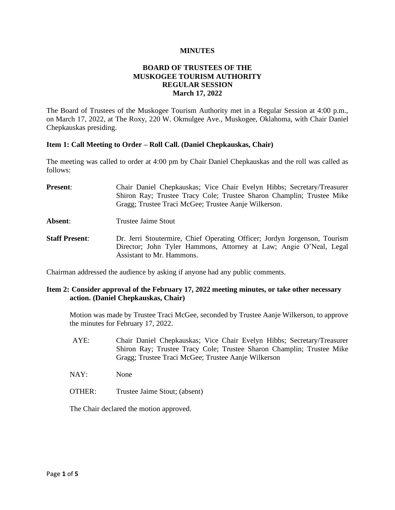#### **MINUTES**

## **BOARD OF TRUSTEES OF THE MUSKOGEE TOURISM AUTHORITY REGULAR SESSION March 17, 2022**

The Board of Trustees of the Muskogee Tourism Authority met in a Regular Session at 4:00 p.m., on March 17, 2022, at The Roxy, 220 W. Okmulgee Ave., Muskogee, Oklahoma, with Chair Daniel Chepkauskas presiding.

#### **Item 1: Call Meeting to Order – Roll Call. (Daniel Chepkauskas, Chair)**

The meeting was called to order at 4:00 pm by Chair Daniel Chepkauskas and the roll was called as follows:

- **Present:** Chair Daniel Chepkauskas; Vice Chair Evelyn Hibbs; Secretary/Treasurer Shiron Ray; Trustee Tracy Cole; Trustee Sharon Champlin; Trustee Mike Gragg; Trustee Traci McGee; Trustee Aanje Wilkerson.
- **Absent:** Trustee Jaime Stout
- **Staff Present**: Dr. Jerri Stoutermire, Chief Operating Officer; Jordyn Jorgenson, Tourism Director; John Tyler Hammons, Attorney at Law; Angie O'Neal, Legal Assistant to Mr. Hammons.

Chairman addressed the audience by asking if anyone had any public comments.

#### **Item 2: Consider approval of the February 17, 2022 meeting minutes, or take other necessary action. (Daniel Chepkauskas, Chair)**

Motion was made by Trustee Traci McGee, seconded by Trustee Aanje Wilkerson, to approve the minutes for February 17, 2022.

- AYE: Chair Daniel Chepkauskas; Vice Chair Evelyn Hibbs; Secretary/Treasurer Shiron Ray; Trustee Tracy Cole; Trustee Sharon Champlin; Trustee Mike Gragg; Trustee Traci McGee; Trustee Aanje Wilkerson
- NAY: None
- OTHER: Trustee Jaime Stout; (absent)

The Chair declared the motion approved.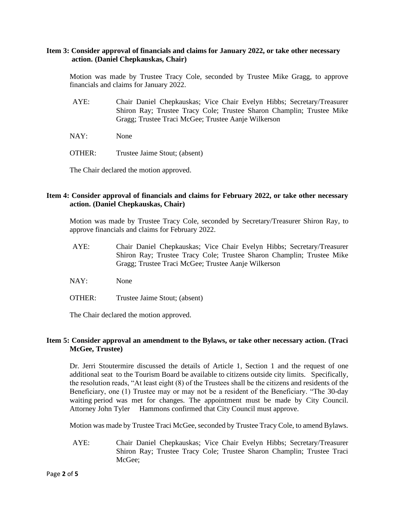#### **Item 3: Consider approval of financials and claims for January 2022, or take other necessary action. (Daniel Chepkauskas, Chair)**

Motion was made by Trustee Tracy Cole, seconded by Trustee Mike Gragg, to approve financials and claims for January 2022.

- AYE: Chair Daniel Chepkauskas; Vice Chair Evelyn Hibbs; Secretary/Treasurer Shiron Ray; Trustee Tracy Cole; Trustee Sharon Champlin; Trustee Mike Gragg; Trustee Traci McGee; Trustee Aanje Wilkerson
- NAY: None
- OTHER: Trustee Jaime Stout; (absent)

The Chair declared the motion approved.

### **Item 4: Consider approval of financials and claims for February 2022, or take other necessary action. (Daniel Chepkauskas, Chair)**

Motion was made by Trustee Tracy Cole, seconded by Secretary/Treasurer Shiron Ray, to approve financials and claims for February 2022.

- AYE: Chair Daniel Chepkauskas; Vice Chair Evelyn Hibbs; Secretary/Treasurer Shiron Ray; Trustee Tracy Cole; Trustee Sharon Champlin; Trustee Mike Gragg; Trustee Traci McGee; Trustee Aanje Wilkerson
- NAY: None
- OTHER: Trustee Jaime Stout; (absent)

The Chair declared the motion approved.

### **Item 5: Consider approval an amendment to the Bylaws, or take other necessary action. (Traci McGee, Trustee)**

Dr. Jerri Stoutermire discussed the details of Article 1, Section 1 and the request of one additional seat to the Tourism Board be available to citizens outside city limits. Specifically, the resolution reads, "At least eight (8) of the Trustees shall be the citizens and residents of the Beneficiary, one (1) Trustee may or may not be a resident of the Beneficiary. "The 30-day waiting period was met for changes. The appointment must be made by City Council. Attorney John Tyler Hammons confirmed that City Council must approve.

Motion was made by Trustee Traci McGee, seconded by Trustee Tracy Cole, to amend Bylaws.

AYE: Chair Daniel Chepkauskas; Vice Chair Evelyn Hibbs; Secretary/Treasurer Shiron Ray; Trustee Tracy Cole; Trustee Sharon Champlin; Trustee Traci McGee;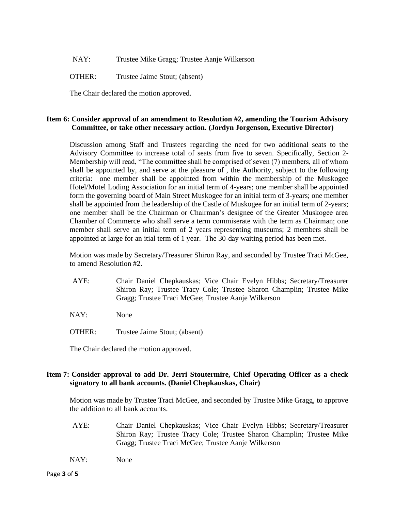NAY: Trustee Mike Gragg; Trustee Aanje Wilkerson

OTHER: Trustee Jaime Stout; (absent)

The Chair declared the motion approved.

## **Item 6: Consider approval of an amendment to Resolution #2, amending the Tourism Advisory Committee, or take other necessary action. (Jordyn Jorgenson, Executive Director)**

Discussion among Staff and Trustees regarding the need for two additional seats to the Advisory Committee to increase total of seats from five to seven. Specifically, Section 2- Membership will read, "The committee shall be comprised of seven (7) members, all of whom shall be appointed by, and serve at the pleasure of , the Authority, subject to the following criteria: one member shall be appointed from within the membership of the Muskogee Hotel/Motel Loding Association for an initial term of 4-years; one member shall be appointed form the governing board of Main Street Muskogee for an initial term of 3-years; one member shall be appointed from the leadership of the Castle of Muskogee for an initial term of 2-years; one member shall be the Chairman or Chairman's designee of the Greater Muskogee area Chamber of Commerce who shall serve a term commiserate with the term as Chairman; one member shall serve an initial term of 2 years representing museums; 2 members shall be appointed at large for an itial term of 1 year. The 30-day waiting period has been met.

Motion was made by Secretary/Treasurer Shiron Ray, and seconded by Trustee Traci McGee, to amend Resolution #2.

- AYE: Chair Daniel Chepkauskas; Vice Chair Evelyn Hibbs; Secretary/Treasurer Shiron Ray; Trustee Tracy Cole; Trustee Sharon Champlin; Trustee Mike Gragg; Trustee Traci McGee; Trustee Aanje Wilkerson
- NAY: None
- OTHER: Trustee Jaime Stout; (absent)

The Chair declared the motion approved.

#### **Item 7: Consider approval to add Dr. Jerri Stoutermire, Chief Operating Officer as a check signatory to all bank accounts. (Daniel Chepkauskas, Chair)**

Motion was made by Trustee Traci McGee, and seconded by Trustee Mike Gragg, to approve the addition to all bank accounts.

- AYE: Chair Daniel Chepkauskas; Vice Chair Evelyn Hibbs; Secretary/Treasurer Shiron Ray; Trustee Tracy Cole; Trustee Sharon Champlin; Trustee Mike Gragg; Trustee Traci McGee; Trustee Aanje Wilkerson
- NAY: None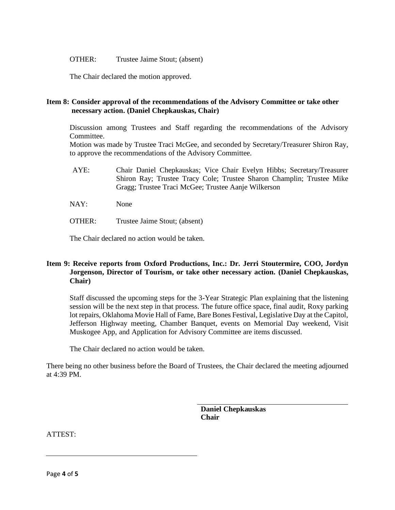OTHER: Trustee Jaime Stout; (absent)

The Chair declared the motion approved.

### **Item 8: Consider approval of the recommendations of the Advisory Committee or take other necessary action. (Daniel Chepkauskas, Chair)**

Discussion among Trustees and Staff regarding the recommendations of the Advisory Committee.

Motion was made by Trustee Traci McGee, and seconded by Secretary/Treasurer Shiron Ray, to approve the recommendations of the Advisory Committee.

- AYE: Chair Daniel Chepkauskas; Vice Chair Evelyn Hibbs; Secretary/Treasurer Shiron Ray; Trustee Tracy Cole; Trustee Sharon Champlin; Trustee Mike Gragg; Trustee Traci McGee; Trustee Aanje Wilkerson
- NAY: None
- OTHER: Trustee Jaime Stout; (absent)

The Chair declared no action would be taken.

# **Item 9: Receive reports from Oxford Productions, Inc.: Dr. Jerri Stoutermire, COO, Jordyn Jorgenson, Director of Tourism, or take other necessary action. (Daniel Chepkauskas, Chair)**

Staff discussed the upcoming steps for the 3-Year Strategic Plan explaining that the listening session will be the next step in that process. The future office space, final audit, Roxy parking lot repairs, Oklahoma Movie Hall of Fame, Bare Bones Festival, Legislative Day at the Capitol, Jefferson Highway meeting, Chamber Banquet, events on Memorial Day weekend, Visit Muskogee App, and Application for Advisory Committee are items discussed.

The Chair declared no action would be taken.

There being no other business before the Board of Trustees, the Chair declared the meeting adjourned at 4:39 PM.

> **Daniel Chepkauskas Chair**

ATTEST: